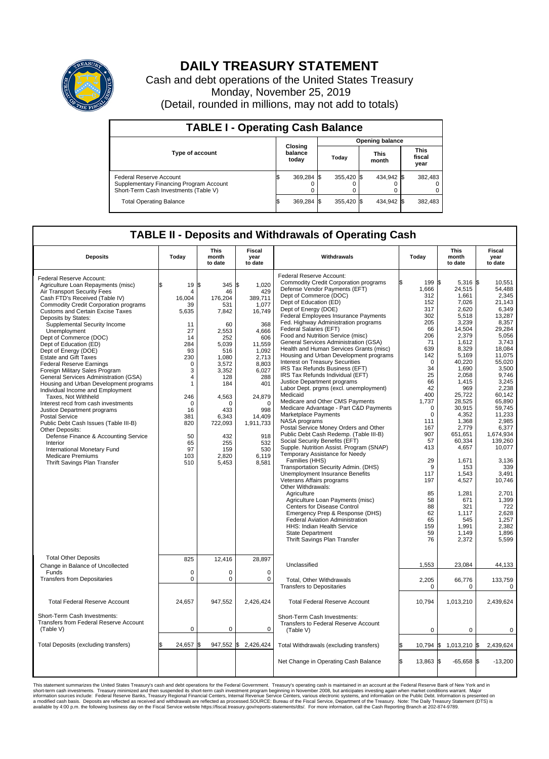

## **DAILY TREASURY STATEMENT**

Cash and debt operations of the United States Treasury Monday, November 25, 2019 (Detail, rounded in millions, may not add to totals)

| <b>TABLE I - Operating Cash Balance</b>                                                                     |  |                             |  |                        |  |                      |  |                               |  |  |  |
|-------------------------------------------------------------------------------------------------------------|--|-----------------------------|--|------------------------|--|----------------------|--|-------------------------------|--|--|--|
|                                                                                                             |  | Closing<br>balance<br>today |  | <b>Opening balance</b> |  |                      |  |                               |  |  |  |
| <b>Type of account</b>                                                                                      |  |                             |  | Today                  |  | <b>This</b><br>month |  | <b>This</b><br>fiscal<br>year |  |  |  |
| Federal Reserve Account<br>Supplementary Financing Program Account<br>Short-Term Cash Investments (Table V) |  | 369,284 \$                  |  | 355.420 \$             |  | 434.942 \$           |  | 382,483                       |  |  |  |
| <b>Total Operating Balance</b>                                                                              |  | 369,284 \$                  |  | 355.420 \$             |  | 434,942 \$           |  | 382,483                       |  |  |  |

## **TABLE II - Deposits and Withdrawals of Operating Cash**

| <b>Deposits</b>                                                                                                                                                                                                                                                                                                                                                                                                                                                                                                                                                                                                                                                                                                                                                                                                                                                                                                                            | Today                                                                                                                                                                                             | This<br>month<br>to date                                                                                                                                                                                            | Fiscal<br>year<br>to date                                                                                                                                                                                                | Withdrawals                                                                                                                                                                                                                                                                                                                                                                                                                                                                                                                                                                                                                                                                                                                                                                                                                                                                                                                                                                                                                                                                                                                                                                                                                                                                                                                                                                                | Today                                                                                                                                                                                                                                                                          | <b>This</b><br>month<br>to date                                                                                                                                                                                                                                                                                                                             | Fiscal<br>year<br>to date                                                                                                                                                                                                                                                                                                                                          |
|--------------------------------------------------------------------------------------------------------------------------------------------------------------------------------------------------------------------------------------------------------------------------------------------------------------------------------------------------------------------------------------------------------------------------------------------------------------------------------------------------------------------------------------------------------------------------------------------------------------------------------------------------------------------------------------------------------------------------------------------------------------------------------------------------------------------------------------------------------------------------------------------------------------------------------------------|---------------------------------------------------------------------------------------------------------------------------------------------------------------------------------------------------|---------------------------------------------------------------------------------------------------------------------------------------------------------------------------------------------------------------------|--------------------------------------------------------------------------------------------------------------------------------------------------------------------------------------------------------------------------|--------------------------------------------------------------------------------------------------------------------------------------------------------------------------------------------------------------------------------------------------------------------------------------------------------------------------------------------------------------------------------------------------------------------------------------------------------------------------------------------------------------------------------------------------------------------------------------------------------------------------------------------------------------------------------------------------------------------------------------------------------------------------------------------------------------------------------------------------------------------------------------------------------------------------------------------------------------------------------------------------------------------------------------------------------------------------------------------------------------------------------------------------------------------------------------------------------------------------------------------------------------------------------------------------------------------------------------------------------------------------------------------|--------------------------------------------------------------------------------------------------------------------------------------------------------------------------------------------------------------------------------------------------------------------------------|-------------------------------------------------------------------------------------------------------------------------------------------------------------------------------------------------------------------------------------------------------------------------------------------------------------------------------------------------------------|--------------------------------------------------------------------------------------------------------------------------------------------------------------------------------------------------------------------------------------------------------------------------------------------------------------------------------------------------------------------|
| Federal Reserve Account:<br>Agriculture Loan Repayments (misc)<br>Air Transport Security Fees<br>Cash FTD's Received (Table IV)<br><b>Commodity Credit Corporation programs</b><br><b>Customs and Certain Excise Taxes</b><br>Deposits by States:<br>Supplemental Security Income<br>Unemployment<br>Dept of Commerce (DOC)<br>Dept of Education (ED)<br>Dept of Energy (DOE)<br><b>Estate and Gift Taxes</b><br><b>Federal Reserve Earnings</b><br>Foreign Military Sales Program<br>General Services Administration (GSA)<br>Housing and Urban Development programs<br>Individual Income and Employment<br>Taxes, Not Withheld<br>Interest recd from cash investments<br>Justice Department programs<br><b>Postal Service</b><br>Public Debt Cash Issues (Table III-B)<br>Other Deposits:<br>Defense Finance & Accounting Service<br>Interior<br>International Monetary Fund<br><b>Medicare Premiums</b><br>Thrift Savings Plan Transfer | \$<br>19<br>$\overline{4}$<br>16,004<br>39<br>5,635<br>11<br>27<br>14<br>284<br>93<br>230<br>0<br>3<br>$\overline{4}$<br>1<br>246<br>$\Omega$<br>16<br>381<br>820<br>50<br>65<br>97<br>103<br>510 | \$<br>345 \$<br>46<br>176.204<br>531<br>7,842<br>60<br>2,553<br>252<br>5,039<br>516<br>1,080<br>3,572<br>3,352<br>128<br>184<br>4,563<br>$\Omega$<br>433<br>6,343<br>722,093<br>432<br>255<br>159<br>2,820<br>5,453 | 1,020<br>429<br>389,711<br>1,077<br>16,749<br>368<br>4,666<br>606<br>11,559<br>1,092<br>2,713<br>8,803<br>6,027<br>288<br>401<br>24,879<br>$\Omega$<br>998<br>14,409<br>1,911,733<br>918<br>532<br>530<br>6,119<br>8,581 | Federal Reserve Account:<br><b>Commodity Credit Corporation programs</b><br>Defense Vendor Payments (EFT)<br>Dept of Commerce (DOC)<br>Dept of Education (ED)<br>Dept of Energy (DOE)<br>Federal Employees Insurance Payments<br>Fed. Highway Administration programs<br>Federal Salaries (EFT)<br>Food and Nutrition Service (misc)<br>General Services Administration (GSA)<br>Health and Human Services Grants (misc)<br>Housing and Urban Development programs<br>Interest on Treasury Securities<br>IRS Tax Refunds Business (EFT)<br>IRS Tax Refunds Individual (EFT)<br>Justice Department programs<br>Labor Dept. prgms (excl. unemployment)<br>Medicaid<br>Medicare and Other CMS Payments<br>Medicare Advantage - Part C&D Payments<br>Marketplace Payments<br>NASA programs<br>Postal Service Money Orders and Other<br>Public Debt Cash Redemp. (Table III-B)<br>Social Security Benefits (EFT)<br>Supple. Nutrition Assist. Program (SNAP)<br>Temporary Assistance for Needy<br>Families (HHS)<br>Transportation Security Admin. (DHS)<br>Unemployment Insurance Benefits<br>Veterans Affairs programs<br>Other Withdrawals:<br>Agriculture<br>Agriculture Loan Payments (misc)<br>Centers for Disease Control<br>Emergency Prep & Response (DHS)<br>Federal Aviation Administration<br>HHS: Indian Health Service<br><b>State Department</b><br>Thrift Savings Plan Transfer | 199<br>1,666<br>312<br>152<br>317<br>302<br>205<br>66<br>206<br>71<br>639<br>142<br>$\mathbf 0$<br>34<br>25<br>66<br>42<br>400<br>1,737<br>$\Omega$<br>$\mathbf 0$<br>111<br>167<br>907<br>57<br>413<br>29<br>9<br>117<br>197<br>85<br>58<br>88<br>62<br>65<br>159<br>59<br>76 | l\$<br>5,316 \$<br>24,515<br>1,661<br>7,026<br>2,620<br>5,518<br>3,239<br>14,504<br>2,379<br>1,612<br>8,329<br>5,169<br>40,220<br>1,690<br>2,058<br>1,415<br>969<br>25,722<br>28,525<br>30,915<br>4,352<br>1,368<br>2.779<br>651,651<br>60,334<br>4,657<br>1,671<br>153<br>1,543<br>4,527<br>1,281<br>671<br>321<br>1,117<br>545<br>1,991<br>1,149<br>2,372 | 10.551<br>54,488<br>2,345<br>21,143<br>6,349<br>13,287<br>8.357<br>29,284<br>5,056<br>3,743<br>18,084<br>11,075<br>55,020<br>3.500<br>9,746<br>3,245<br>2.238<br>60,142<br>65,890<br>59.745<br>11,233<br>2,985<br>6.377<br>1,674,934<br>139.260<br>10,077<br>3,136<br>339<br>3,491<br>10,746<br>2,701<br>1,399<br>722<br>2,628<br>1,257<br>2.382<br>1,896<br>5,599 |
| <b>Total Other Deposits</b><br>Change in Balance of Uncollected<br>Funds                                                                                                                                                                                                                                                                                                                                                                                                                                                                                                                                                                                                                                                                                                                                                                                                                                                                   | 825<br>$\mathbf 0$                                                                                                                                                                                | 12,416<br>$\Omega$                                                                                                                                                                                                  | 28,897<br>$\Omega$                                                                                                                                                                                                       | Unclassified                                                                                                                                                                                                                                                                                                                                                                                                                                                                                                                                                                                                                                                                                                                                                                                                                                                                                                                                                                                                                                                                                                                                                                                                                                                                                                                                                                               | 1,553                                                                                                                                                                                                                                                                          | 23,084                                                                                                                                                                                                                                                                                                                                                      | 44,133                                                                                                                                                                                                                                                                                                                                                             |
| <b>Transfers from Depositaries</b>                                                                                                                                                                                                                                                                                                                                                                                                                                                                                                                                                                                                                                                                                                                                                                                                                                                                                                         | 0                                                                                                                                                                                                 | $\pmb{0}$                                                                                                                                                                                                           | 0                                                                                                                                                                                                                        | Total, Other Withdrawals<br><b>Transfers to Depositaries</b>                                                                                                                                                                                                                                                                                                                                                                                                                                                                                                                                                                                                                                                                                                                                                                                                                                                                                                                                                                                                                                                                                                                                                                                                                                                                                                                               | 2,205<br>$\mathbf 0$                                                                                                                                                                                                                                                           | 66,776<br>$\mathbf 0$                                                                                                                                                                                                                                                                                                                                       | 133,759<br>$\mathbf 0$                                                                                                                                                                                                                                                                                                                                             |
| <b>Total Federal Reserve Account</b>                                                                                                                                                                                                                                                                                                                                                                                                                                                                                                                                                                                                                                                                                                                                                                                                                                                                                                       | 24,657                                                                                                                                                                                            | 947,552                                                                                                                                                                                                             | 2,426,424                                                                                                                                                                                                                | <b>Total Federal Reserve Account</b>                                                                                                                                                                                                                                                                                                                                                                                                                                                                                                                                                                                                                                                                                                                                                                                                                                                                                                                                                                                                                                                                                                                                                                                                                                                                                                                                                       | 10,794                                                                                                                                                                                                                                                                         | 1,013,210                                                                                                                                                                                                                                                                                                                                                   | 2,439,624                                                                                                                                                                                                                                                                                                                                                          |
| Short-Term Cash Investments:<br><b>Transfers from Federal Reserve Account</b><br>(Table V)                                                                                                                                                                                                                                                                                                                                                                                                                                                                                                                                                                                                                                                                                                                                                                                                                                                 | 0                                                                                                                                                                                                 | $\pmb{0}$                                                                                                                                                                                                           | 0                                                                                                                                                                                                                        | Short-Term Cash Investments:<br>Transfers to Federal Reserve Account<br>(Table V)                                                                                                                                                                                                                                                                                                                                                                                                                                                                                                                                                                                                                                                                                                                                                                                                                                                                                                                                                                                                                                                                                                                                                                                                                                                                                                          | $\mathbf 0$                                                                                                                                                                                                                                                                    | $\mathbf 0$                                                                                                                                                                                                                                                                                                                                                 | 0                                                                                                                                                                                                                                                                                                                                                                  |
| Total Deposits (excluding transfers)                                                                                                                                                                                                                                                                                                                                                                                                                                                                                                                                                                                                                                                                                                                                                                                                                                                                                                       | 24,657                                                                                                                                                                                            | 947,552 \$<br>1\$                                                                                                                                                                                                   | 2,426,424                                                                                                                                                                                                                | Total Withdrawals (excluding transfers)                                                                                                                                                                                                                                                                                                                                                                                                                                                                                                                                                                                                                                                                                                                                                                                                                                                                                                                                                                                                                                                                                                                                                                                                                                                                                                                                                    | 10,794 \$                                                                                                                                                                                                                                                                      | $1,013,210$ \$                                                                                                                                                                                                                                                                                                                                              | 2,439,624                                                                                                                                                                                                                                                                                                                                                          |
|                                                                                                                                                                                                                                                                                                                                                                                                                                                                                                                                                                                                                                                                                                                                                                                                                                                                                                                                            |                                                                                                                                                                                                   |                                                                                                                                                                                                                     |                                                                                                                                                                                                                          | Net Change in Operating Cash Balance                                                                                                                                                                                                                                                                                                                                                                                                                                                                                                                                                                                                                                                                                                                                                                                                                                                                                                                                                                                                                                                                                                                                                                                                                                                                                                                                                       | ß.<br>13,863 \$                                                                                                                                                                                                                                                                | $-65,658$ \$                                                                                                                                                                                                                                                                                                                                                | $-13,200$                                                                                                                                                                                                                                                                                                                                                          |

This statement summarizes the United States Treasury's cash and debt operations for the Federal Government. Treasury soperating in November 2008, but anticiarded in a cocount at the Federal metaformation sources investment